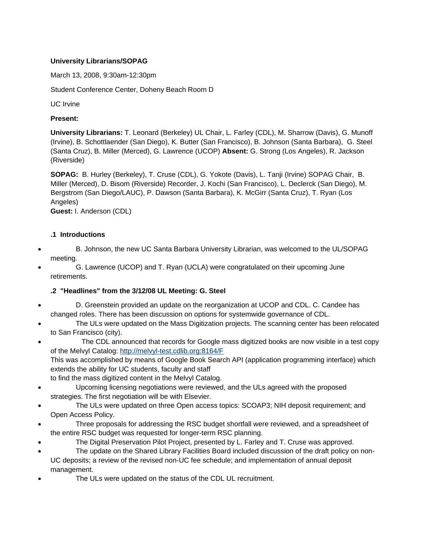### **University Librarians/SOPAG**

March 13, 2008, 9:30am-12:30pm

Student Conference Center, Doheny Beach Room D

UC Irvine

#### **Present:**

**University Librarians:** T. Leonard (Berkeley) UL Chair, L. Farley (CDL), M. Sharrow (Davis), G. Munoff (Irvine), B. Schottlaender (San Diego), K. Butter (San Francisco), B. Johnson (Santa Barbara), G. Steel (Santa Cruz), B. Miller (Merced), G. Lawrence (UCOP) **Absent:** G. Strong (Los Angeles), R. Jackson (Riverside)

**SOPAG:** B. Hurley (Berkeley), T. Cruse (CDL), G. Yokote (Davis), L. Tanji (Irvine) SOPAG Chair, B. Miller (Merced), D. Bisom (Riverside) Recorder, J. Kochi (San Francisco), L. Declerck (San Diego), M. Bergstrom (San Diego/LAUC), P. Dawson (Santa Barbara), K. McGirr (Santa Cruz), T. Ryan (Los Angeles)

**Guest:** I. Anderson (CDL)

### **.1 Introductions**

- B. Johnson, the new UC Santa Barbara University Librarian, was welcomed to the UL/SOPAG meeting.
- G. Lawrence (UCOP) and T. Ryan (UCLA) were congratulated on their upcoming June retirements.

## **.2 "Headlines" from the 3/12/08 UL Meeting: G. Steel**

- D. Greenstein provided an update on the reorganization at UCOP and CDL. C. Candee has changed roles. There has been discussion on options for systemwide governance of CDL.
- The ULs were updated on the Mass Digitization projects. The scanning center has been relocated to San Francisco (city).
- The CDL announced that records for Google mass digitized books are now visible in a test copy of the Melvyl Catalog: <http://melvyl-test.cdlib.org:8164/F> This was accomplished by means of Google Book Search API (application programming interface) which extends the ability for UC students, faculty and staff
- to find the mass digitized content in the Melvyl Catalog.
- Upcoming licensing negotiations were reviewed, and the ULs agreed with the proposed strategies. The first negotiation will be with Elsevier.
- The ULs were updated on three Open access topics: SCOAP3; NIH deposit requirement; and Open Access Policy.
- Three proposals for addressing the RSC budget shortfall were reviewed, and a spreadsheet of the entire RSC budget was requested for longer-term RSC planning.
- The Digital Preservation Pilot Project, presented by L. Farley and T. Cruse was approved.
- The update on the Shared Library Facilities Board included discussion of the draft policy on non-UC deposits; a review of the revised non-UC fee schedule; and implementation of annual deposit management.
- The ULs were updated on the status of the CDL UL recruitment.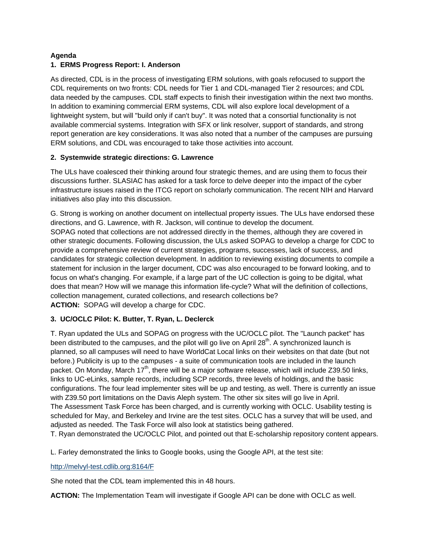#### **Agenda 1. ERMS Progress Report: I. Anderson**

As directed, CDL is in the process of investigating ERM solutions, with goals refocused to support the CDL requirements on two fronts: CDL needs for Tier 1 and CDL-managed Tier 2 resources; and CDL data needed by the campuses. CDL staff expects to finish their investigation within the next two months. In addition to examining commercial ERM systems, CDL will also explore local development of a lightweight system, but will "build only if can't buy". It was noted that a consortial functionality is not available commercial systems. Integration with SFX or link resolver, support of standards, and strong report generation are key considerations. It was also noted that a number of the campuses are pursuing ERM solutions, and CDL was encouraged to take those activities into account.

## **2. Systemwide strategic directions: G. Lawrence**

The ULs have coalesced their thinking around four strategic themes, and are using them to focus their discussions further. SLASIAC has asked for a task force to delve deeper into the impact of the cyber infrastructure issues raised in the ITCG report on scholarly communication. The recent NIH and Harvard initiatives also play into this discussion.

G. Strong is working on another document on intellectual property issues. The ULs have endorsed these directions, and G. Lawrence, with R. Jackson, will continue to develop the document. SOPAG noted that collections are not addressed directly in the themes, although they are covered in other strategic documents. Following discussion, the ULs asked SOPAG to develop a charge for CDC to provide a comprehensive review of current strategies, programs, successes, lack of success, and candidates for strategic collection development. In addition to reviewing existing documents to compile a statement for inclusion in the larger document, CDC was also encouraged to be forward looking, and to focus on what's changing. For example, if a large part of the UC collection is going to be digital, what does that mean? How will we manage this information life-cycle? What will the definition of collections, collection management, curated collections, and research collections be? **ACTION:** SOPAG will develop a charge for CDC.

## **3. UC/OCLC Pilot: K. Butter, T. Ryan, L. Declerck**

T. Ryan updated the ULs and SOPAG on progress with the UC/OCLC pilot. The "Launch packet" has been distributed to the campuses, and the pilot will go live on April  $28<sup>th</sup>$ . A synchronized launch is planned, so all campuses will need to have WorldCat Local links on their websites on that date (but not before.) Publicity is up to the campuses - a suite of communication tools are included in the launch packet. On Monday, March 17<sup>th</sup>, there will be a major software release, which will include Z39.50 links, links to UC-eLinks, sample records, including SCP records, three levels of holdings, and the basic configurations. The four lead implementer sites will be up and testing, as well. There is currently an issue with Z39.50 port limitations on the Davis Aleph system. The other six sites will go live in April. The Assessment Task Force has been charged, and is currently working with OCLC. Usability testing is scheduled for May, and Berkeley and Irvine are the test sites. OCLC has a survey that will be used, and adjusted as needed. The Task Force will also look at statistics being gathered.

T. Ryan demonstrated the UC/OCLC Pilot, and pointed out that E-scholarship repository content appears.

L. Farley demonstrated the links to Google books, using the Google API, at the test site:

<http://melvyl-test.cdlib.org:8164/F>

She noted that the CDL team implemented this in 48 hours.

**ACTION:** The Implementation Team will investigate if Google API can be done with OCLC as well.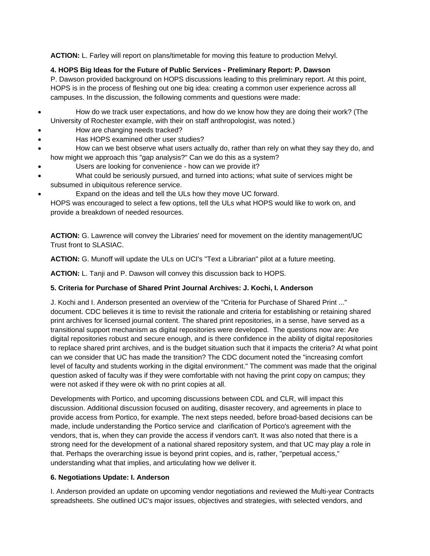**ACTION:** L. Farley will report on plans/timetable for moving this feature to production Melvyl.

# **4. HOPS Big Ideas for the Future of Public Services - Preliminary Report: P. Dawson**

P. Dawson provided background on HOPS discussions leading to this preliminary report. At this point, HOPS is in the process of fleshing out one big idea: creating a common user experience across all campuses. In the discussion, the following comments and questions were made:

- How do we track user expectations, and how do we know how they are doing their work? (The University of Rochester example, with their on staff anthropologist, was noted.)
- How are changing needs tracked?
- Has HOPS examined other user studies?
- How can we best observe what users actually do, rather than rely on what they say they do, and how might we approach this "gap analysis?" Can we do this as a system?
- Users are looking for convenience how can we provide it?
- What could be seriously pursued, and turned into actions; what suite of services might be subsumed in ubiquitous reference service.
- Expand on the ideas and tell the ULs how they move UC forward.

HOPS was encouraged to select a few options, tell the ULs what HOPS would like to work on, and provide a breakdown of needed resources.

**ACTION:** G. Lawrence will convey the Libraries' need for movement on the identity management/UC Trust front to SLASIAC.

**ACTION:** G. Munoff will update the ULs on UCI's "Text a Librarian" pilot at a future meeting.

**ACTION:** L. Tanji and P. Dawson will convey this discussion back to HOPS.

# **5. Criteria for Purchase of Shared Print Journal Archives: J. Kochi, I. Anderson**

J. Kochi and I. Anderson presented an overview of the "Criteria for Purchase of Shared Print ..." document. CDC believes it is time to revisit the rationale and criteria for establishing or retaining shared print archives for licensed journal content. The shared print repositories, in a sense, have served as a transitional support mechanism as digital repositories were developed. The questions now are: Are digital repositories robust and secure enough, and is there confidence in the ability of digital repositories to replace shared print archives, and is the budget situation such that it impacts the criteria? At what point can we consider that UC has made the transition? The CDC document noted the "increasing comfort level of faculty and students working in the digital environment." The comment was made that the original question asked of faculty was if they were comfortable with not having the print copy on campus; they were not asked if they were ok with no print copies at all.

Developments with Portico, and upcoming discussions between CDL and CLR, will impact this discussion. Additional discussion focused on auditing, disaster recovery, and agreements in place to provide access from Portico, for example. The next steps needed, before broad-based decisions can be made, include understanding the Portico service and clarification of Portico's agreement with the vendors, that is, when they can provide the access if vendors can't. It was also noted that there is a strong need for the development of a national shared repository system, and that UC may play a role in that. Perhaps the overarching issue is beyond print copies, and is, rather, "perpetual access," understanding what that implies, and articulating how we deliver it.

# **6. Negotiations Update: I. Anderson**

I. Anderson provided an update on upcoming vendor negotiations and reviewed the Multi-year Contracts spreadsheets. She outlined UC's major issues, objectives and strategies, with selected vendors, and